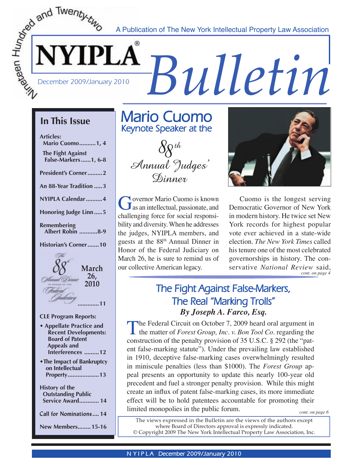*S* A Publication of The New York Intellectual Property Law Association<br>
Frace December 2009/January 2010<br> *Bulletin* A Publication of The New York Intellectual Property Law Association

### **In This Issue**

**Articles: Mario Cuomo ..........1, 4 The Fight Against False-Markers ......1, 6-8**

**President's Corner .........2**

**An 88-Year Tradition .....3**

**NYIPLA Calendar ..........4**

**Honoring Judge Linn .....5**

**Remembering Albert Robin ...........8-9** 

**Historian's Corner .......10**



#### **CLE Program Reports:**

- **Appellate Practice and Recent Developments: Board of Patent Appeals and Interferences .........12**
- **•The Impact of Bankruptcy on Intellectual Property ...................13**

**History of the Outstanding Public Service Award ............ 14**

**Call for Nominations .... 14**

**New Members ........15-16**

### **Mario Cuomo Keynote Speaker at the**



Governor Mario Cuomo is known<br>
as an intellectual, passionate, and<br>
abellancing force for social regnonsi challenging force for social responsibility and diversity. When he addresses the judges, NYIPLA members, and guests at the 88<sup>th</sup> Annual Dinner in Honor of the Federal Judiciary on March 26, he is sure to remind us of our collective American legacy.



 Cuomo is the longest serving Democratic Governor of New York in modern history. He twice set New York records for highest popular vote ever achieved in a state-wide election. *The New York Times* called his tenure one of the most celebrated governorships in history. The conservative *National Review* said, *cont. on page 4* **26,**

### **The Fight Against False-Markers, The Real "Marking Trolls"** *By Joseph A. Farco, Esq.*

The Federal Circuit on October 7, 2009 heard oral argument in<br>the matter of *Forest Group, Inc. v. Bon Tool Co.* regarding the<br>construction of the parally provision of 25 U.S.C. 8, 2024 (the "notconstruction of the penalty provision of 35 U.S.C. § 292 (the "patent false-marking statute"). Under the prevailing law established in 1910, deceptive false-marking cases overwhelmingly resulted in miniscule penalties (less than \$1000). The *Forest Group* appeal presents an opportunity to update this nearly 100-year old precedent and fuel a stronger penalty provision. While this might create an influx of patent false-marking cases, its more immediate effect will be to hold patentees accountable for promoting their limited monopolies in the public forum.

*cont. on page 6*

The views expressed in the Bulletin are the views of the authors except where Board of Directors approval is expressly indicated. © Copyright 2009 The New York Intellectual Property Law Association, Inc.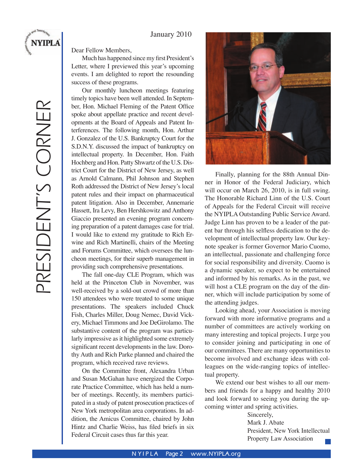#### January 2010

Dear Fellow Members,

 Much has happened since my first President's Letter, where I previewed this year's upcoming events. I am delighted to report the resounding success of these programs.

 Our monthly luncheon meetings featuring timely topics have been well attended. In September, Hon. Michael Fleming of the Patent Office spoke about appellate practice and recent developments at the Board of Appeals and Patent Interferences. The following month, Hon. Arthur J. Gonzalez of the U.S. Bankruptcy Court for the S.D.N.Y. discussed the impact of bankruptcy on intellectual property. In December, Hon. Faith Hochberg and Hon. Patty Shwartz of the U.S. District Court for the District of New Jersey, as well as Arnold Calmann, Phil Johnson and Stephen Roth addressed the District of New Jersey's local patent rules and their impact on pharmaceutical patent litigation. Also in December, Annemarie Hassett, Ira Levy, Ben Hershkowitz and Anthony Giaccio presented an evening program concerning preparation of a patent damages case for trial. I would like to extend my gratitude to Rich Erwine and Rich Martinelli, chairs of the Meeting and Forums Committee, which oversees the luncheon meetings, for their superb management in providing such comprehensive presentations.

 The fall one-day CLE Program, which was held at the Princeton Club in November, was well-received by a sold-out crowd of more than 150 attendees who were treated to some unique presentations. The speakers included Chuck Fish, Charles Miller, Doug Nemec, David Vickery, Michael Timmons and Joe DeGirolamo. The substantive content of the program was particularly impressive as it highlighted some extremely significant recent developments in the law. Dorothy Auth and Rich Parke planned and chaired the program, which received rave reviews.

 On the Committee front, Alexandra Urban and Susan McGahan have energized the Corporate Practice Committee, which has held a number of meetings. Recently, its members participated in a study of patent prosecution practices of New York metropolitan area corporations. In addition, the Amicus Committee, chaired by John Hintz and Charlie Weiss, has filed briefs in six Federal Circuit cases thus far this year.



 Finally, planning for the 88th Annual Dinner in Honor of the Federal Judiciary, which will occur on March 26, 2010, is in full swing. The Honorable Richard Linn of the U.S. Court of Appeals for the Federal Circuit will receive the NYIPLA Outstanding Public Service Award. Judge Linn has proven to be a leader of the patent bar through his selfless dedication to the development of intellectual property law. Our keynote speaker is former Governor Mario Cuomo, an intellectual, passionate and challenging force for social responsibility and diversity. Cuomo is a dynamic speaker, so expect to be entertained and informed by his remarks. As in the past, we will host a CLE program on the day of the dinner, which will include participation by some of the attending judges.

Looking ahead, your Association is moving forward with more informative programs and a number of committees are actively working on many interesting and topical projects. I urge you to consider joining and participating in one of our committees. There are many opportunities to become involved and exchange ideas with colleagues on the wide-ranging topics of intellectual property.

 We extend our best wishes to all our members and friends for a happy and healthy 2010 and look forward to seeing you during the upcoming winter and spring activities.

> Sincerely, Mark J. Abate President, New York Intellectual Property Law Association

**NYIPLA**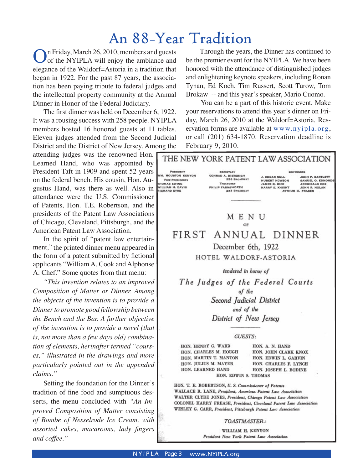## **An 88-Year Tradition**

In Friday, March 26, 2010, members and guests of the NYIPLA will enjoy the ambiance and elegance of the Waldorf=Astoria in a tradition that began in 1922. For the past 87 years, the association has been paying tribute to federal judges and the intellectual property community at the Annual Dinner in Honor of the Federal Judiciary.

 The first dinner was held on December 6, 1922. It was a rousing success with 258 people. NYIPLA members hosted 16 honored guests at 11 tables. Eleven judges attended from the Second Judicial District and the District of New Jersey. Among the

attending judges was the renowned Hon. Learned Hand, who was appointed by President Taft in 1909 and spent 52 years on the federal bench. His cousin, Hon. Augustus Hand, was there as well. Also in attendance were the U.S. Commissioner of Patents, Hon. T.E. Robertson, and the presidents of the Patent Law Associations of Chicago, Cleveland, Pittsburgh, and the American Patent Law Association.

 In the spirit of "patent law entertainment," the printed dinner menu appeared in the form of a patent submitted by fictional applicants "William A. Cook and Alphonse A. Chef." Some quotes from that menu:

*"This invention relates to an improved Composition of Matter or Dinner. Among the objects of the invention is to provide a Dinner to promote good fellowship between the Bench and the Bar. A further objective of the invention is to provide a novel (that is, not more than a few days old) combination of elements, herinafter termed "courses," illustrated in the drawings and more particularly pointed out in the appended claims."* 

Setting the foundation for the Dinner's tradition of fine food and sumptuous desserts, the menu concluded with *"An Improved Composition of Matter consisting of Bombe of Nesselrode Ice Cream, with assorted cakes, macaroons, lady fingers and coffee."* 

 Through the years, the Dinner has continued to be the premier event for the NYIPLA. We have been honored with the attendance of distinguished judges and enlightening keynote speakers, including Ronan Tynan, Ed Koch, Tim Russert, Scott Turow, Tom Brokaw -- and this year's speaker, Mario Cuomo.

 You can be a part of this historic event. Make your reservations to attend this year's dinner on Friday, March 26, 2010 at the Waldorf=Astoria. Reservation forms are available at www.nyipla.org, or call (201) 634-1870. Reservation deadline is February 9, 2010.



President New York Patent Law Association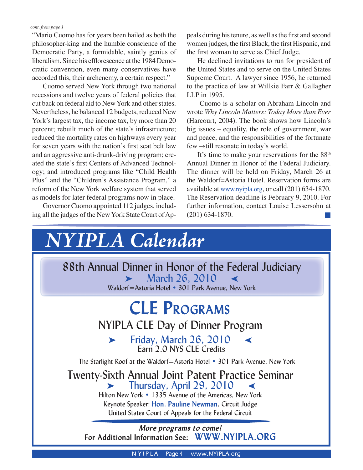#### *cont. from page 1*

"Mario Cuomo has for years been hailed as both the philosopher-king and the humble conscience of the Democratic Party, a formidable, saintly genius of liberalism. Since his efflorescence at the 1984 Democratic convention, even many conservatives have accorded this, their archenemy, a certain respect."

 Cuomo served New York through two national recessions and twelve years of federal policies that cut back on federal aid to New York and other states. Nevertheless, he balanced 12 budgets, reduced New York's largest tax, the income tax, by more than 20 percent; rebuilt much of the state's infrastructure; reduced the mortality rates on highways every year for seven years with the nation's first seat belt law and an aggressive anti-drunk-driving program; created the state's first Centers of Advanced Technology; and introduced programs like "Child Health Plus" and the "Children's Assistance Program," a reform of the New York welfare system that served as models for later federal programs now in place.

Governor Cuomo appointed 112 judges, including all the judges of the New York State Court of Appeals during his tenure, as well as the first and second women judges, the first Black, the first Hispanic, and the first woman to serve as Chief Judge.

 He declined invitations to run for president of the United States and to serve on the United States Supreme Court. A lawyer since 1956, he returned to the practice of law at Willkie Farr & Gallagher LLP in 1995.

 Cuomo is a scholar on Abraham Lincoln and wrote *Why Lincoln Matters: Today More than Ever* (Harcourt, 2004). The book shows how Lincoln's big issues – equality, the role of government, war and peace, and the responsibilities of the fortunate few –still resonate in today's world.

It's time to make your reservations for the  $88<sup>th</sup>$ Annual Dinner in Honor of the Federal Judiciary. The dinner will be held on Friday, March 26 at the Waldorf=Astoria Hotel. Reservation forms are available at www.nyipla.org, or call (201) 634-1870. The Reservation deadline is February 9, 2010. For further information, contact Louise Lessersohn at (201) 634-1870.



**N YIPLA** Page 4 www.NYIPLA.org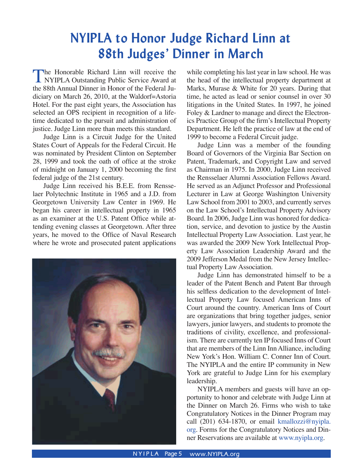## **NYIPLA to Honor Judge Richard Linn at 88th Judges' Dinner in March**

The Honorable Richard Linn will receive the NYIPLA Outstanding Public Service Award at the 88th Annual Dinner in Honor of the Eederal In the 88th Annual Dinner in Honor of the Federal Judiciary on March 26, 2010, at the Waldorf=Astoria Hotel. For the past eight years, the Association has selected an OPS recipient in recognition of a lifetime dedicated to the pursuit and administration of justice. Judge Linn more than meets this standard.

 Judge Linn is a Circuit Judge for the United States Court of Appeals for the Federal Circuit. He was nominated by President Clinton on September 28, 1999 and took the oath of office at the stroke of midnight on January 1, 2000 becoming the first federal judge of the 21st century.

 Judge Linn received his B.E.E. from Rensselaer Polytechnic Institute in 1965 and a J.D. from Georgetown University Law Center in 1969. He began his career in intellectual property in 1965 as an examiner at the U.S. Patent Office while attending evening classes at Georgetown. After three years, he moved to the Office of Naval Research where he wrote and prosecuted patent applications



while completing his last year in law school. He was the head of the intellectual property department at Marks, Murase & White for 20 years. During that time, he acted as lead or senior counsel in over 30 litigations in the United States. In 1997, he joined Foley & Lardner to manage and direct the Electronics Practice Group of the firm's Intellectual Property Department. He left the practice of law at the end of 1999 to become a Federal Circuit judge.

 Judge Linn was a member of the founding Board of Governors of the Virginia Bar Section on Patent, Trademark, and Copyright Law and served as Chairman in 1975. In 2000, Judge Linn received the Rensselaer Alumni Association Fellows Award. He served as an Adjunct Professor and Professional Lecturer in Law at George Washington University Law School from 2001 to 2003, and currently serves on the Law School's Intellectual Property Advisory Board. In 2006, Judge Linn was honored for dedication, service, and devotion to justice by the Austin Intellectual Property Law Association. Last year, he was awarded the 2009 New York Intellectual Property Law Association Leadership Award and the 2009 Jefferson Medal from the New Jersey Intellectual Property Law Association.

 Judge Linn has demonstrated himself to be a leader of the Patent Bench and Patent Bar through his selfless dedication to the development of Intellectual Property Law focused American Inns of Court around the country. American Inns of Court are organizations that bring together judges, senior lawyers, junior lawyers, and students to promote the traditions of civility, excellence, and professionalism. There are currently ten IP focused Inns of Court that are members of the Linn Inn Alliance, including New York's Hon. William C. Conner Inn of Court. The NYIPLA and the entire IP community in New York are grateful to Judge Linn for his exemplary leadership.

 NYIPLA members and guests will have an opportunity to honor and celebrate with Judge Linn at the Dinner on March 26. Firms who wish to take Congratulatory Notices in the Dinner Program may call (201) 634-1870, or email kmallozzi@nyipla. org. Forms for the Congratulatory Notices and Dinner Reservations are available at www.nyipla.org.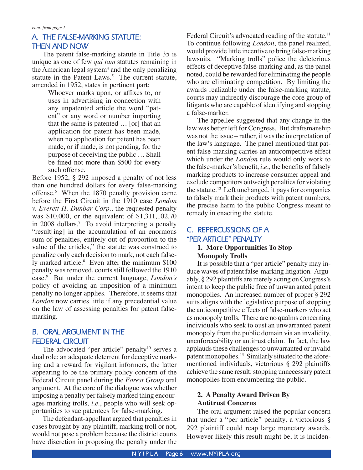#### **A. THE FALSE-MARKING STATUTE: THEN AND NOW**

The patent false-marking statute in Title 35 is unique as one of few *qui tam* statutes remaining in the American legal system<sup>4</sup> and the only penalizing statute in the Patent Laws.<sup>5</sup> The current statute, amended in 1952, states in pertinent part:

> Whoever marks upon, or affixes to, or uses in advertising in connection with any unpatented article the word "patent" or any word or number importing that the same is patented … [or] that an application for patent has been made, when no application for patent has been made, or if made, is not pending, for the purpose of deceiving the public … Shall be fined not more than \$500 for every such offense.

Before 1952, § 292 imposed a penalty of not less than one hundred dollars for every false-marking offense.6 When the 1870 penalty provision came before the First Circuit in the 1910 case *London v. Everett H. Dunbar Corp.*, the requested penalty was \$10,000, or the equivalent of \$1,311,102.70 in 2008 dollars.7 To avoid interpreting a penalty "result[ing] in the accumulation of an enormous sum of penalties, entirely out of proportion to the value of the articles," the statute was construed to penalize only each decision to mark, not each falsely marked article.<sup>8</sup> Even after the minimum \$100 penalty was removed, courts still followed the 1910 case.9 But under the current language, *London's*  policy of avoiding an imposition of a minimum penalty no longer applies. Therefore, it seems that *London* now carries little if any precedential value on the law of assessing penalties for patent falsemarking.

### **B. ORAL ARGUMENT IN THE FEDERAL CIRCUIT**

The advocated "per article" penalty<sup>10</sup> serves a dual role: an adequate deterrent for deceptive marking and a reward for vigilant informers, the latter appearing to be the primary policy concern of the Federal Circuit panel during the *Forest Group* oral argument. At the core of the dialogue was whether imposing a penalty per falsely marked thing encourages marking trolls, *i.e.*, people who will seek opportunities to sue patentees for false-marking.

The defendant-appellant argued that penalties in cases brought by any plaintiff, marking troll or not, would not pose a problem because the district courts have discretion in proposing the penalty under the

Federal Circuit's advocated reading of the statute.<sup>11</sup> To continue following *London*, the panel realized, would provide little incentive to bring false-marking lawsuits. "Marking trolls" police the deleterious effects of deceptive false-marking and, as the panel noted, could be rewarded for eliminating the people who are eliminating competition. By limiting the awards realizable under the false-marking statute, courts may indirectly discourage the core group of litigants who are capable of identifying and stopping a false-marker.

The appellee suggested that any change in the law was better left for Congress. But draftsmanship was not the issue – rather, it was the interpretation of the law's language. The panel mentioned that patent false-marking carries an anticompetitive effect which under the *London* rule would only work to the false-marker's benefit, *i.e.*, the benefits of falsely marking products to increase consumer appeal and exclude competitors outweigh penalties for violating the statute.<sup>12</sup> Left unchanged, it pays for companies to falsely mark their products with patent numbers, the precise harm to the public Congress meant to remedy in enacting the statute.

### **C. REPERCUSSIONS OF A "PER ARTICLE" PENALTY**

#### **1. More Opportunities To Stop Monopoly Trolls**

It is possible that a "per article" penalty may induce waves of patent false-marking litigation. Arguably, § 292 plaintiffs are merely acting on Congress's intent to keep the public free of unwarranted patent monopolies. An increased number of proper § 292 suits aligns with the legislative purpose of stopping the anticompetitive effects of false-markers who act as monopoly trolls. There are no qualms concerning individuals who seek to oust an unwarranted patent monopoly from the public domain via an invalidity, unenforceability or antitrust claim. In fact, the law applauds these challenges to unwarranted or invalid patent monopolies.<sup>13</sup> Similarly situated to the aforementioned individuals, victorious § 292 plaintiffs achieve the same result: stopping unnecessary patent monopolies from encumbering the public.

#### **2. A Penalty Award Driven By Antitrust Concerns**

The oral argument raised the popular concern that under a "per article" penalty, a victorious § 292 plaintiff could reap large monetary awards. However likely this result might be, it is inciden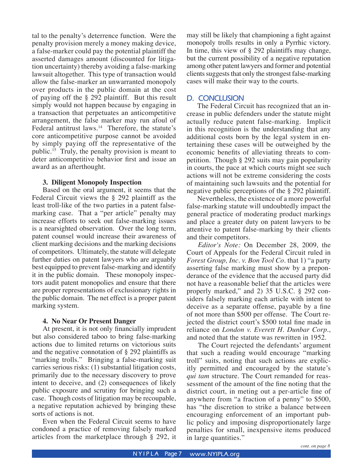tal to the penalty's deterrence function. Were the penalty provision merely a money making device, a false-marker could pay the potential plaintiff the asserted damages amount (discounted for litigation uncertainty) thereby avoiding a false-marking lawsuit altogether. This type of transaction would allow the false-marker an unwarranted monopoly over products in the public domain at the cost of paying off the § 292 plaintiff. But this result simply would not happen because by engaging in a transaction that perpetuates an anticompetitive arrangement, the false marker may run afoul of Federal antitrust laws.<sup>14</sup> Therefore, the statute's core anticompetitive purpose cannot be avoided by simply paying off the representative of the public.15 Truly, the penalty provision is meant to deter anticompetitive behavior first and issue an award as an afterthought.

#### **3. Diligent Monopoly Inspection**

Based on the oral argument, it seems that the Federal Circuit views the § 292 plaintiff as the least troll-like of the two parties in a patent falsemarking case. That a "per article" penalty may increase efforts to seek out false-marking issues is a nearsighted observation. Over the long term, patent counsel would increase their awareness of client marking decisions and the marking decisions of competitors. Ultimately, the statute will delegate further duties on patent lawyers who are arguably best equipped to prevent false-marking and identify it in the public domain. These monopoly inspectors audit patent monopolies and ensure that there are proper representations of exclusionary rights in the public domain. The net effect is a proper patent marking system.

#### **4. No Near Or Present Danger**

At present, it is not only financially imprudent but also considered taboo to bring false-marking actions due to limited returns on victorious suits and the negative connotation of § 292 plaintiffs as "marking trolls." Bringing a false-marking suit carries serious risks: (1) substantial litigation costs, primarily due to the necessary discovery to prove intent to deceive, and (2) consequences of likely public exposure and scrutiny for bringing such a case. Though costs of litigation may be recoupable, a negative reputation achieved by bringing these sorts of actions is not.

Even when the Federal Circuit seems to have condoned a practice of removing falsely marked articles from the marketplace through § 292, it may still be likely that championing a fight against monopoly trolls results in only a Pyrrhic victory. In time, this view of § 292 plaintiffs may change, but the current possibility of a negative reputation among other patent lawyers and former and potential clients suggests that only the strongest false-marking cases will make their way to the courts.

#### **D. CONCLUSION**

The Federal Circuit has recognized that an increase in public defenders under the statute might actually reduce patent false-marking. Implicit in this recognition is the understanding that any additional costs born by the legal system in entertaining these cases will be outweighed by the economic benefits of alleviating threats to competition. Though § 292 suits may gain popularity in courts, the pace at which courts might see such actions will not be extreme considering the costs of maintaining such lawsuits and the potential for negative public perceptions of the § 292 plaintiff.

Nevertheless, the existence of a more powerful false-marking statute will undoubtedly impact the general practice of moderating product markings and place a greater duty on patent lawyers to be attentive to patent false-marking by their clients and their competitors.

*Editor's Note:* On December 28, 2009, the Court of Appeals for the Federal Circuit ruled in *Forest Group, Inc. v. Bon Tool Co.* that 1) "a party asserting false marking must show by a preponderance of the evidence that the accused party did not have a reasonable belief that the articles were properly marked," and 2) 35 U.S.C. § 292 considers falsely marking each article with intent to deceive as a separate offense, payable by a fine of not more than \$500 per offense. The Court rejected the district court's \$500 total fine made in reliance on *London v. Everett H. Dunbar Corp.*, and noted that the statute was rewritten in 1952.

 The Court rejected the defendants' argument that such a reading would encourage "marking troll" suits, noting that such actions are explicitly permitted and encouraged by the statute's *qui tam* structure. The Court remanded for reassessment of the amount of the fine noting that the district court, in meting out a per-article fine of anywhere from "a fraction of a penny" to \$500, has "the discretion to strike a balance between encouraging enforcement of an important public policy and imposing disproportionately large penalties for small, inexpensive items produced in large quantities."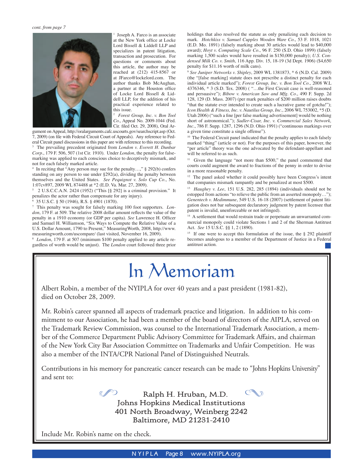

<sup>1</sup> Joseph A. Farco is an associate at the New York office at Locke Lord Bissell & Liddell LLP and specializes in patent litigation, transaction and prosecution. For questions or comments about this article, the author may be reached at (212) 415-8567 or at JFarco@lockelord.com. The author thanks Bob McAughan, a partner at the Houston office of Locke Lord Bissell & Liddell LLP, for the addition of his practical experience related to this issue.

2 *Forest Group, Inc. v. Bon Tool Co.*, Appeal No. 2009-1044 (Fed. Cir. filed Oct. 29, 2008), Oral Ar-

gument on Appeal, http://oralarguments.cafc.uscourts.gov/searchscript.asp (Oct. 7, 2009) (on file with Federal Circuit Court of Appeals). Any reference to Federal Circuit panel discussions in this paper are with reference to this recording.

3 The prevailing precedent originated from *London v. Everett H. Dunbar Corp.*, 179 F. 506, 507 (1st Cir. 1910). Under *London*, the penalty for falsemarking was applied to each conscious choice to deceptively mismark, and not for each falsely marked article.

4 In reciting that "Any person may sue for the penalty…," § 292(b) confers standing on any person to sue under §292(a), dividing the penalty between themselves and the United States. *See Pequignot v. Solo Cup Co.*, No. 1:07cv897, 2009 WL 874488 at \*2 (E.D. Va. Mar. 27, 2009).

5 2 U.S.C.C.A.N. 2424 (1952) ("This [§ 292] is a criminal provision." It penalizes the actor rather than compensate for any injury).

6 35 U.S.C. § 50 (1946), R.S. § 4901 (1870).

7 This penalty was sought for falsely marking 100 foot supporters. *London*, 179 F. at 509. The relative 2008 dollar amount reflects the value of the penalty in a 1910 economy (or GDP per capita). *See* Lawrence H. Officer and Samuel H. Williamson, "Six Ways to Compute the Relative Value of a U.S. Dollar Amount, 1790 to Present," MeasuringWorth, 2008, http://www. measuringworth.com/uscompare/ (last visited, November 16, 2009).

8 *London*, 179 F. at 507 (minimum \$100 penalty applied to any article regardless of worth would be unjust). The *London* court followed three prior holdings that also resolved the statute as only penalizing each decision to mark. *Hotchkiss v. Samuel Cupples Wooden Ware Co.*, 53 F. 1018, 1021 (E.D. Mo. 1891) (falsely marking about 30 articles would lead to \$40,000 award); *Hoyt v. Computing Scale Co.*, 96 F. 250 (S.D. Ohio 1899) (falsely marking 1,500 scales would have resulted in \$150,000 penalty); *U.S. Condensed Milk Co. v. Smith*, 116 App. Div. 15, 18-19 (3d Dept. 1906) (\$4,650 penalty for \$11.16 worth of milk cans).

<sup>9</sup> *See Juniper Networks v. Shipley*, 2009 WL 1381873, \* 6 (N.D. Cal. 2009) (the "[false marking] statute does not prescribe a distinct penalty for each individual article marked"); *Forest Group, Inc. v. Bon Tool Co.*, 2008 W.L 4376346, \* 3 (S.D. Tex. 2008) ( "…the First Circuit case is well-reasoned and persuasive"); *Bibow v. American Saw and Mfg. Co.*, 490 F. Supp. 2d 128, 129 (D. Mass. 2007) (per mark penalties of \$200 million raises doubts "that the statute ever intended to create such a lucrative game of gotcha!"); *Icon Health & Fitness, Inc. v. Nautilus Group, Inc.*, 2006 WL 753002, \*5 (D. Utah 2006) ("such a fine [per false marking advertisement] would be nothing short of astronomical."); *Sadler-Cisar, Inc. v. Commercial Sales Network, Inc.*, 786 F. Supp. 1287, 1296 (N.D. Ohio 1991) ("continuous markings over a given time constitute a single offense").

<sup>10</sup> The Federal Circuit panel indicated that the penalty applies to each falsely marked "thing" (article or not). For the purposes of this paper, however, the "per article" theory was the one advocated by the defendant-appellant and will be referred to as such.

<sup>11</sup> Given the language "not more than \$500," the panel commented that courts could augment the award to fractions of the penny in order to devise in a more reasonable penalty.

<sup>12</sup> The panel asked whether it could possibly have been Congress's intent that companies mismark rampantly and be penalized at most \$500.

13 *Haughey v. Lee*, 151 U.S. 282, 285 (1894) (individuals should not be estopped from actions "to relieve the public from an asserted monopoly…"); *Genentech v. Medimmune*, 549 U.S. 16-18 (2007) (settlement of patent litigation does not bar subsequent declaratory judgment by patent licensee that patent is invalid, unenforceable or not infringed).

<sup>14</sup> A settlement that would restrain trade or perpetuate an unwarranted commercial monopoly could violate Sections 1 and 2 of the Sherman Antitrust Act. *See* 15 U.S.C. §§ 1, 2 (1890).

<sup>15</sup> If one were to accept this formulation of the issue, the § 292 plaintiff becomes analogous to a member of the Department of Justice in a Federal antitrust action.

## In Memoriam

Albert Robin, a member of the NYIPLA for over 40 years and a past president (1981-82), died on October 28, 2009.

Mr. Robin's career spanned all aspects of trademark practice and litigation. In addition to his commitment to our Association, he had been a member of the board of directors of the AIPLA, served on the Trademark Review Commission, was counsel to the International Trademark Association, a member of the Commerce Department Public Advisory Committee for Trademark Affairs, and chairman of the New York City Bar Association Committee on Trademarks and Unfair Competition. He was also a member of the INTA/CPR National Panel of Distinguished Neutrals.

Contributions in his memory for pancreatic cancer research can be made to "Johns Hopkins University" and sent to:

> m **Johns Hopkins Medical Institutions Ralph H. Hruban, M.D. 401 North Broadway, Weinberg 2242 Baltimore, MD 21231-2410**

Include Mr. Robin's name on the check.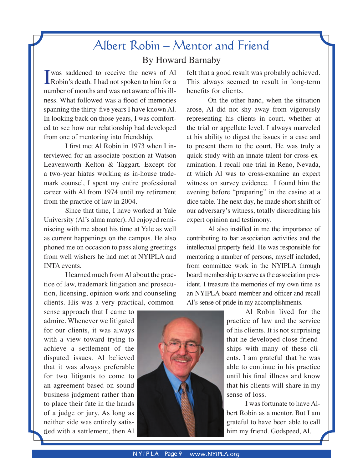## Albert Robin – Mentor and Friend By Howard Barnaby

 $\prod$  was saddened to receive the news of Al Robin's death. I had not spoken to him for a was saddened to receive the news of Al number of months and was not aware of his illness. What followed was a flood of memories spanning the thirty-five years I have known Al. In looking back on those years, I was comforted to see how our relationship had developed from one of mentoring into friendship.

I first met Al Robin in 1973 when I interviewed for an associate position at Watson Leavenworth Kelton & Taggart. Except for a two-year hiatus working as in-house trademark counsel, I spent my entire professional career with Al from 1974 until my retirement from the practice of law in 2004.

Since that time, I have worked at Yale University (Al's alma mater). Al enjoyed reminiscing with me about his time at Yale as well as current happenings on the campus. He also phoned me on occasion to pass along greetings from well wishers he had met at NYIPLA and INTA events.

 I learned much from Al about the practice of law, trademark litigation and prosecution, licensing, opinion work and counseling clients. His was a very practical, common-

sense approach that I came to admire. Whenever we litigated for our clients, it was always with a view toward trying to achieve a settlement of the disputed issues. Al believed that it was always preferable for two litigants to come to an agreement based on sound business judgment rather than to place their fate in the hands of a judge or jury. As long as neither side was entirely satisfied with a settlement, then Al

felt that a good result was probably achieved. This always seemed to result in long-term benefits for clients.

 On the other hand, when the situation arose, Al did not shy away from vigorously representing his clients in court, whether at the trial or appellate level. I always marveled at his ability to digest the issues in a case and to present them to the court. He was truly a quick study with an innate talent for cross-examination. I recall one trial in Reno, Nevada, at which Al was to cross-examine an expert witness on survey evidence. I found him the evening before "preparing" in the casino at a dice table. The next day, he made short shrift of our adversary's witness, totally discrediting his expert opinion and testimony.

Al also instilled in me the importance of contributing to bar association activities and the intellectual property field. He was responsible for mentoring a number of persons, myself included, from committee work in the NYIPLA through board membership to serve as the association president. I treasure the memories of my own time as an NYIPLA board member and officer and recall Al's sense of pride in my accomplishments.

> Al Robin lived for the practice of law and the service of his clients. It is not surprising that he developed close friendships with many of these clients. I am grateful that he was able to continue in his practice until his final illness and know that his clients will share in my sense of loss.

> I was fortunate to have Albert Robin as a mentor. But I am grateful to have been able to call him my friend. Godspeed, Al.

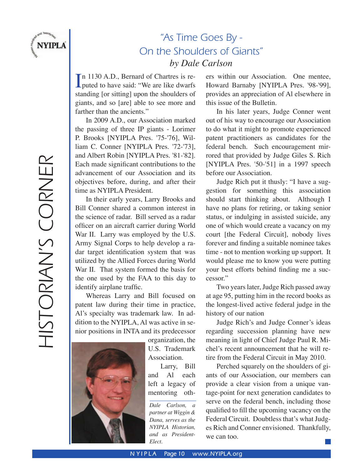

## "As Time Goes By - On the Shoulders of Giants" *by Dale Carlson*

 $\prod_{\text{puted to have said:}}$  "We are like dwarfs" n 1130 A.D., Bernard of Chartres is restanding [or sitting] upon the shoulders of giants, and so [are] able to see more and farther than the ancients."

In 2009 A.D., our Association marked the passing of three IP giants - Lorimer P. Brooks [NYIPLA Pres. '75-'76], William C. Conner [NYIPLA Pres. '72-'73], and Albert Robin [NYIPLA Pres. '81-'82]. Each made significant contributions to the advancement of our Association and its objectives before, during, and after their time as NYIPLA President.

 In their early years, Larry Brooks and Bill Conner shared a common interest in the science of radar. Bill served as a radar officer on an aircraft carrier during World War II. Larry was employed by the U.S. Army Signal Corps to help develop a radar target identification system that was utilized by the Allied Forces during World War II. That system formed the basis for the one used by the FAA to this day to identify airplane traffic.

 Whereas Larry and Bill focused on patent law during their time in practice, Al's specialty was trademark law. In addition to the NYIPLA, Al was active in senior positions in INTA and its predecessor



organization, the U.S. Trademark Association. Larry, Bill

and Al each left a legacy of mentoring oth-

*Dale Carlson, a partner at Wiggin & Dana, serves as the NYIPLA Historian, and as President-Elect.*

ers within our Association. One mentee, Howard Barnaby [NYIPLA Pres. '98-'99], provides an appreciation of Al elsewhere in this issue of the Bulletin.

In his later years, Judge Conner went out of his way to encourage our Association to do what it might to promote experienced patent practitioners as candidates for the federal bench. Such encouragement mirrored that provided by Judge Giles S. Rich [NYIPLA Pres. '50-'51] in a 1997 speech before our Association.

 Judge Rich put it thusly: "I have a suggestion for something this association should start thinking about. Although I have no plans for retiring, or taking senior status, or indulging in assisted suicide, any one of which would create a vacancy on my court [the Federal Circuit], nobody lives forever and finding a suitable nominee takes time - not to mention working up support. It would please me to know you were putting your best efforts behind finding me a successor."

 Two years later, Judge Rich passed away at age 95, putting him in the record books as the longest-lived active federal judge in the history of our nation

Judge Rich's and Judge Conner's ideas regarding succession planning have new meaning in light of Chief Judge Paul R. Michel's recent announcement that he will retire from the Federal Circuit in May 2010.

Perched squarely on the shoulders of giants of our Association, our members can provide a clear vision from a unique vantage-point for next generation candidates to serve on the federal bench, including those qualified to fill the upcoming vacancy on the Federal Circuit. Doubtless that's what Judges Rich and Conner envisioned. Thankfully, we can too.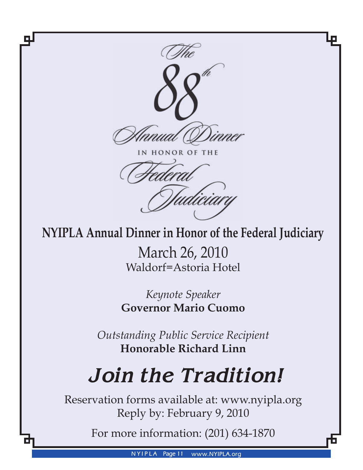

IN HONOR OF THE

## **NYIPLA Annual Dinner in Honor of the Federal Judiciary**

March 26, 2010 Waldorf=Astoria Hotel

*Keynote Speaker* **Governor Mario Cuomo**

*Outstanding Public Service Recipient* **Honorable Richard Linn**

# *Join the Tradition!*

Reservation forms available at: www.nyipla.org Reply by: February 9, 2010

For more information: (201) 634-1870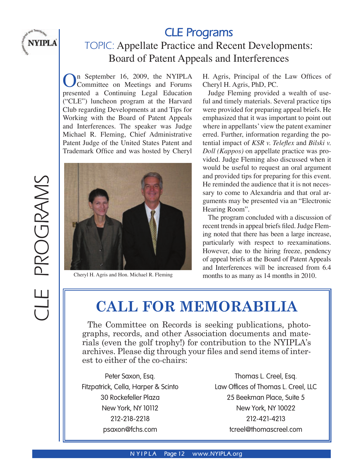

## **CLE Programs** TOPIC: Appellate Practice and Recent Developments: Board of Patent Appeals and Interferences

 $\sum_{\alpha}$  September 16, 2009, the NYIPLA Committee on Meetings and Forums presented a Continuing Legal Education ("CLE") luncheon program at the Harvard Club regarding Developments at and Tips for Working with the Board of Patent Appeals and Interferences. The speaker was Judge Michael R. Fleming, Chief Administrative Patent Judge of the United States Patent and Trademark Office and was hosted by Cheryl



H. Agris, Principal of the Law Offices of Cheryl H. Agris, PhD, PC.

 Judge Fleming provided a wealth of useful and timely materials. Several practice tips were provided for preparing appeal briefs. He emphasized that it was important to point out where in appellants' view the patent examiner erred. Further, information regarding the potential impact of *KSR v. Teleflex* and *Bilski v. Doll (Kappos)* on appellate practice was provided. Judge Fleming also discussed when it would be useful to request an oral argument and provided tips for preparing for this event. He reminded the audience that it is not necessary to come to Alexandria and that oral arguments may be presented via an "Electronic Hearing Room".

 The program concluded with a discussion of recent trends in appeal briefs filed. Judge Fleming noted that there has been a large increase, particularly with respect to reexaminations. However, due to the hiring freeze, pendency of appeal briefs at the Board of Patent Appeals and Interferences will be increased from 6.4 Cheryl H. Agris and Hon. Michael R. Fleming months to as many as 14 months in 2010.

## **CALL FOR MEMORABILIA**

The Committee on Records is seeking publications, photographs, records, and other Association documents and materials (even the golf trophy!) for contribution to the NYIPLA's archives. Please dig through your files and send items of interest to either of the co-chairs:

Peter Saxon, Esq. Thomas L. Creel, Esq. Fitzpatrick, Cella, Harper & Scinto Law Offices of Thomas L. Creel, LLC 30 Rockefeller Plaza 25 Beekman Place, Suite 5 New York, NY 10112 New York, NY 10022 212-218-2218 212-421-4213 psaxon@fchs.com tcreel@thomascreel.com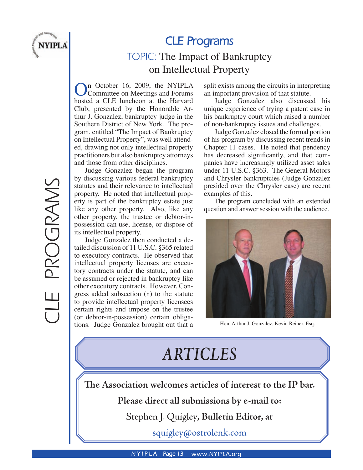

## **CLE Programs**

## TOPIC: The Impact of Bankruptcy on Intellectual Property

On October 16, 2009, the NYIPLA Committee on Meetings and Forums hosted a CLE luncheon at the Harvard Club, presented by the Honorable Arthur J. Gonzalez, bankruptcy judge in the Southern District of New York. The program, entitled "The Impact of Bankruptcy on Intellectual Property", was well attended, drawing not only intellectual property practitioners but also bankruptcy attorneys and those from other disciplines.

Judge Gonzalez began the program by discussing various federal bankruptcy statutes and their relevance to intellectual property. He noted that intellectual property is part of the bankruptcy estate just like any other property. Also, like any other property, the trustee or debtor-inpossession can use, license, or dispose of its intellectual property.

 Judge Gonzalez then conducted a detailed discussion of 11 U.S.C. §365 related to executory contracts. He observed that intellectual property licenses are executory contracts under the statute, and can be assumed or rejected in bankruptcy like other executory contracts. However, Congress added subsection (n) to the statute to provide intellectual property licensees certain rights and impose on the trustee (or debtor-in-possession) certain obligations. Judge Gonzalez brought out that a

split exists among the circuits in interpreting an important provision of that statute.

Judge Gonzalez also discussed his unique experience of trying a patent case in his bankruptcy court which raised a number of non-bankruptcy issues and challenges.

Judge Gonzalez closed the formal portion of his program by discussing recent trends in Chapter 11 cases. He noted that pendency has decreased significantly, and that companies have increasingly utilized asset sales under 11 U.S.C. §363. The General Motors and Chrysler bankruptcies (Judge Gonzalez presided over the Chrysler case) are recent examples of this.

 The program concluded with an extended question and answer session with the audience.



Hon. Arthur J. Gonzalez, Kevin Reiner, Esq.

## *ARTICLES*

**The Association welcomes articles of interest to the IP bar.**

**Please direct all submissions by e-mail to:** 

Stephen J. Quigley**, Bulletin Editor, at** 

squigley@ostrolenk.com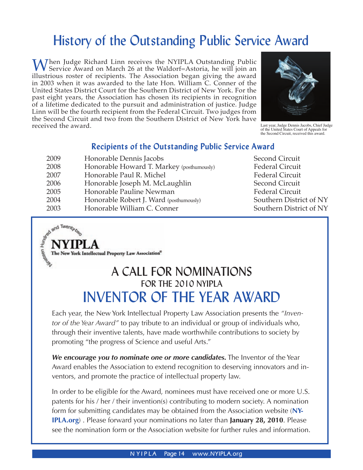## History of the Outstanding Public Service Award

When Judge Richard Linn receives the NYIPLA Outstanding Public<br>Service Award on March 26 at the Waldorf=Astoria, he will join an illustrious roster of recipients. The Association began giving the award in 2003 when it was awarded to the late Hon. William C. Conner of the United States District Court for the Southern District of New York. For the past eight years, the Association has chosen its recipients in recognition of a lifetime dedicated to the pursuit and administration of justice. Judge Linn will be the fourth recipient from the Federal Circuit. Two judges from the Second Circuit and two from the Southern District of New York have received the award.



Last year, Judge Dennis Jacobs, Chief Judge of the United States Court of Appeals for the Second Circuit, received this award.

## Recipients of the Outstanding Public Service Award

| 2009 | Honorable Dennis Jacobs                   |
|------|-------------------------------------------|
| 2008 | Honorable Howard T. Markey (posthumously) |
| 2007 | Honorable Paul R. Michel                  |
| 2006 | Honorable Joseph M. McLaughlin            |
| 2005 | Honorable Pauline Newman                  |
| 2004 | Honorable Robert J. Ward (posthumously)   |
| 2003 | Honorable William C. Conner               |

Second Circuit Federal Circuit **Federal Circuit** Second Circuit **Federal Circuit** Southern District of NY Southern District of NY

The New York Intellectual Property Law Association®

and Twenty two

## A CALL FOR NOMINATIONS FOR THE 2010 NYIPLA INVENTOR OF THE YEAR AWARD

Each year, the New York Intellectual Property Law Association presents the *"Inventor of the Year Award"* to pay tribute to an individual or group of individuals who, through their inventive talents, have made worthwhile contributions to society by promoting "the progress of Science and useful Arts."

*We encourage you to nominate one or more candidates.* The Inventor of the Year Award enables the Association to extend recognition to deserving innovators and inventors, and promote the practice of intellectual property law.

In order to be eligible for the Award, nominees must have received one or more U.S. patents for his / her / their invention(s) contributing to modern society. A nomination form for submitting candidates may be obtained from the Association website (**NY-IPLA.org**) . Please forward your nominations no later than **January 28, 2010**. Please see the nomination form or the Association website for further rules and information.

**N YIPLA** Page 14 www.NYIPLA.org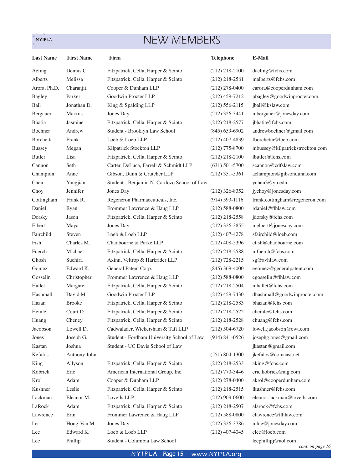## NEW MEMBERS

 $\sum_{i=1}^{n}$ 

| <b>Last Name</b> | <b>First Name</b> | Firm                                        | <b>Telephone</b>   | E-Mail                                  |
|------------------|-------------------|---------------------------------------------|--------------------|-----------------------------------------|
| Aeling           | Dennis C.         | Fitzpatrick, Cella, Harper & Scinto         | $(212)$ 218-2100   | daeling@fchs.com                        |
| Alberts          | Melissa           | Fitzpatrick, Cella, Harper & Scinto         | $(212)$ 218-2581   | malberts@fchs.com                       |
| Arora, Ph.D.     | Charanjit,        | Cooper & Dunham LLP                         | $(212)$ 278-0400   | carora@cooperdunham.com                 |
| <b>Bagley</b>    | Parker            | Goodwin Procter LLP                         | $(212)$ 459-7212   | pbagley@goodwinprocter.com              |
| Ball             | Jonathan D.       | King & Spalding LLP                         | $(212)$ 556-2115   | jball@kslaw.com                         |
| Bergauer         | Markus            | Jones Day                                   | $(212)$ 326-3441   | mbergauer@jonesday.com                  |
| <b>Bhatia</b>    | Jasmine           | Fitzpatrick, Cella, Harper & Scinto         | $(212)$ 218-2577   | jbhatia@fchs.com                        |
| Bochner          | Andrew            | Student - Brooklyn Law School               | $(845)$ 659-6902   | andrewbochner@gmail.com                 |
| Borchetta        | Frank             | Loeb & Loeb LLP                             | $(212)$ 407-4839   | fborchetta@loeb.com                     |
| <b>Bussey</b>    | Megan             | Kilpatrick Stockton LLP                     | $(212)$ 775-8700   | mbussey@kilpatrickstrockton.com         |
| Butler           | Lisa              | Fitzpatrick, Cella, Harper & Scinto         | $(212)$ 218-2100   | lbutler@fchs.com                        |
| Cannon           | Seth              | Carter, DeLuca, Farrell & Schmidt LLP       | $(631)$ 501-5700   | scannon@cdfslaw.com                     |
| Champion         | Anne              | Gibson, Dunn & Crutcher LLP                 | $(212)$ 351-5361   | achampion@gibsondunn.com                |
| Chen             | Yangjian          | Student - Benjamin N. Cardozo School of Law |                    | ychen3@yu.edu                           |
| Choy             | Jennifer          | Jones Day                                   | $(212)$ 326-8352   | jychoy@jonesday.com                     |
| Cottingham       | Frank R.          | Regeneron Pharmaceuticals, Inc.             | $(914) 593 - 1116$ | frank.cottingham@regeneron.com          |
| Daniel           | Ryan              | Frommer Lawrence & Haug LLP                 | $(212) 588 - 0800$ | rdaniel@flhlaw.com                      |
| Dorsky           | Jason             | Fitzpatrick, Cella, Harper & Scinto         | $(212)$ 218-2558   | jdorsky@fchs.com                        |
| Elbert           | Maya              | Jones Day                                   | $(212)$ 326-3855   | melbert@jonesday.com                    |
| Fairchild        | Steven            | Loeb & Loeb LLP                             | $(212)$ 407-4278   | sfairchild@loeb.com                     |
| Fish             | Charles M.        | Chadbourne & Parke LLP                      | $(212)$ 408-5396   | cfish@chadbourne.com                    |
| Fuerch           | Michael           | Fitzpatrick, Cella, Harper & Scinto         | $(212)$ 218-2588   | mfuerch@fchs.com                        |
| Ghosh            | Suchira           | Axinn, Veltrop & Harkrider LLP              | $(212)$ 728-2215   | sg@avhlaw.com                           |
| Gomez            | Edward K.         | General Patent Corp.                        | $(845)$ 369-4000   | egomez@generalpatent.com                |
| Gosselin         | Christopher       | Frommer Lawrence & Haug LLP                 | $(212) 588 - 0800$ | cgosselin@flhlaw.com                    |
| Hallet           | Margaret          | Fitzpatrick, Cella, Harper & Scinto         | $(212)$ 218-2504   | mhallet@fchs.com                        |
| Hashmall         | David M.          | Goodwin Procter LLP                         | $(212)$ 459-7430   | dhashmall@goodwinprocter.com            |
| Hazan            | <b>Brooke</b>     | Fitzpatrick, Cella, Harper & Scinto         | $(212)$ 218-2583   | bhazan@fchs.com                         |
| Heinle           | Court D.          | Fitzpatrick, Cella, Harper & Scinto         | $(212)$ 218-2522   | cheinle@fchs.com                        |
| Huang            | Cheney            | Fitzpatrick, Cella, Harper & Scinto         | $(212)$ 218-2528   | chuang@fchs.com                         |
| Jacobson         | Lowell D.         | Cadwalader, Wickersham & Taft LLP           | $(212) 504-6720$   | lowell.jacobson@cwt.com                 |
| Jones            | Joseph G.         | Student - Fordham University School of Law  | $(914)$ 841-0526   | josephgjones@gmail.com                  |
| Kastan           | Joshua            | Student - UC Davis School of Law            |                    | jkastan@gmail.com                       |
| Kefalos          | Anthony John      |                                             | $(551) 804 - 1300$ | jkefalos@comcast.net                    |
| King             | Allyson           | Fitzpatrick, Cella, Harper & Scinto         | $(212)$ 218-2533   | aking@fchs.com                          |
| Kobrick          | Eric              | American International Group, Inc.          | $(212)$ 770-3446   | eric.kobrick@aig.com                    |
| Krol             | Adam              | Cooper & Dunham LLP                         | $(212)$ 278-0400   | akrol@cooperdunham.com                  |
| Kushner          | Leslie            | Fitzpatrick, Cella, Harper & Scinto         | $(212)$ 218-2515   | lkushner@fchs.com                       |
| Lackman          | Eleanor M.        | Lovells LLP                                 | $(212)$ 909-0600   | eleanor.lackman@lovells.com             |
| LaRock           | Adam              | Fitzpatrick, Cella, Harper & Scinto         | $(212)$ 218-2507   | alarock@fchs.com                        |
| Lawrence         | Erin              | Frommer Lawrence & Haug LLP                 | $(212) 588 - 0800$ | elawrence@flhlaw.com                    |
| Le               | Hong-Van M.       | Jones Day                                   | $(212)$ 326-3786   | mhle@jonesday.com                       |
| Lee              | Edward K.         | Loeb & Loeb LLP                             | $(212)$ 407-4045   | elee@loeb.com                           |
| Lee              | Phillip           | Student - Columbia Law School               |                    | leephillipj@aol.com<br>cont. on page 16 |